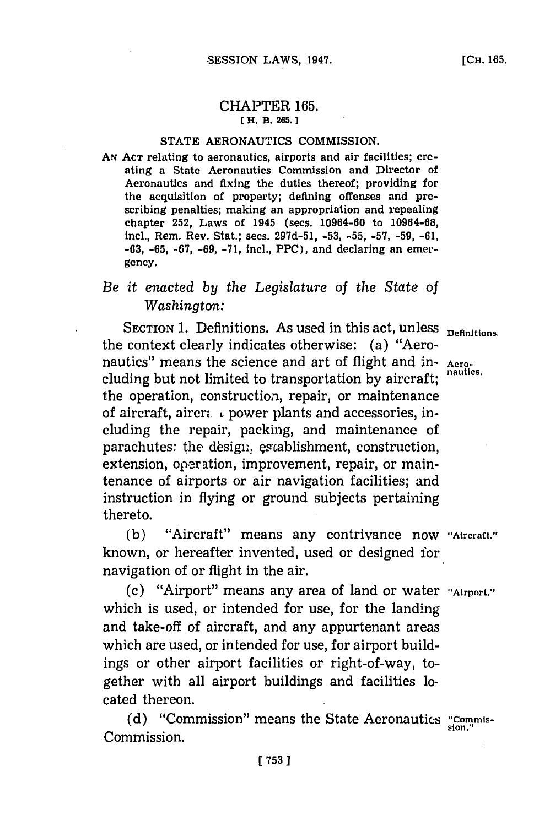## CHAPTER **165. [** H. B. **265.**

#### **STATE AERONAUTICS COMMISSION.**

**AN ACT** relating to aeronautics, airports and air facilities; creating a State Aeronautics Commission and Director of Aeronautics and fixing the duties thereof; providing for the acquisition of property; defining offenses and prescribing penalties; making an appropriation and repealing chapter **252,** Laws of 1945 (sees. 10964-60 to **10964-68,** incl., Rem. Rev. Stat.; secs. **297d-51, -53, -55, -57, -59, -61, -63, -65, -67, -69, -71,** incl., PPC), and declaring an emergency.

# *Be it enacted by the Legislature of the State of Washington:*

**SECTION 1. Definitions.** As used in this act, unless **Definitions**. the context clearly indicates otherwise: (a) "Aeronautics" means the science and art of flight and in- **Aero**cluding but not limited to transportation by aircraft; the operation, construction, repair, or maintenance of aircraft, aircra  $\epsilon$  power plants and accessories, including the repair, packing, and maintenance of parachutes: the design, establishment, construction, extension, operation, improvement, repair, or maintenance of airports or air navigation facilities; and instruction in flying or ground subjects pertaining thereto.

**(b)** "Aircraft" means any contrivance now **"Aircraft."** known, or hereafter invented, used or designed for navigation of or flight in the air.

**(c)** "Airport" means any area of land or water **"~Airport."** which is used, or intended for use, for the landing and take-off of aircraft, and any appurtenant areas which are used, or intended for use, for airport buildings or other airport facilities or right-of-way, together with all airport buildings and facilities located thereon.

(d) "Commission" means the State Aeronautics "Commis-<br>
<sub>sion."</sub> Commission.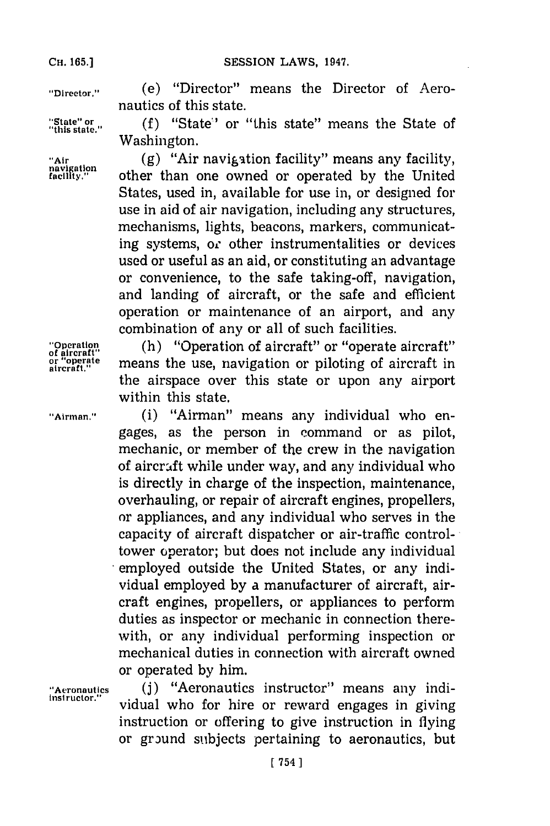"Director." (e) "Director" means the Director of Aeronautics of this state.

"State" or  $( f )$  "State" or "this state" means the State of "this state." Washington.

"Air (g) "Air navigation facility" means any facility,<br>navigation **ought** other than one owned or operated by the United **facil tY"** other than one owned or operated **by** the United States, used in, available for use in, or designed for use in aid of air navigation, including any structures, mechanisms, lights, beacons, markers, communicating systems, or other instrumentalities or devices used or useful as an aid, or constituting an advantage or convenience, to the safe taking-off, navigation, and landing of aircraft, or the safe and efficient operation or maintenance of an airport, and any combination of any or all of such facilities.

**The Terms** of aircraft" or "operate aircraft" or "operate aircraft" or "operate aircraft" means the use, navigation or piloting of aircraft in means the use, navigation or piloting of aircraft in the airspace over this state or upon any airport within this state.

**"Airman."** (i) "Airman" means any individual who engages, as the person in command or as pilot, mechanic, or member of the crew in the navigation of aircraft while under way, and any individual who is directly in charge of the inspection, maintenance, overhauling, or repair of aircraft engines, propellers, or appliances, and any individual who serves in the capacity of aircraft dispatcher or air-traffic controltower operator; but does not include any individual employed outside the United States, or any individual employed **by** a manufacturer of aircraft, aircraft engines, propellers, or appliances to perform duties as inspector or mechanic in connection therewith, or any individual performing inspection or mechanical duties in connection with aircraft owned or operated **by** him.

"Aeronautics (j) "Aeronautics instructor" means any individual who for hire or reward engages in giving instruction or offering to give instruction in flying or ground subljects pertaining to aeronautics, but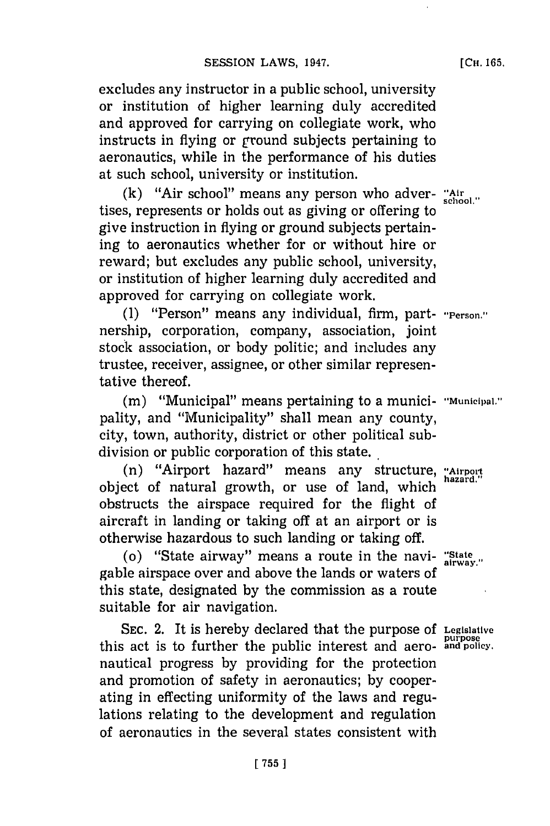excludes any instructor in a public school, university or institution of higher learning duly accredited and approved for carrying on collegiate work, who instructs in flying or ground subjects pertaining to aeronautics, while in the performance of his duties at such school, university or institution.

 $(k)$  "Air school" means any person who adver- "Air school." tises, represents or holds out as giving or offering to give instruction in flying or ground subjects pertaining to aeronautics whether for or without hire or reward; but excludes any public school, university, or institution of higher learning duly accredited and approved for carrying on collegiate work.

**(1)** "Person" means any individual, firm, part- **"Person."** nership, corporation, company, association, joint stock association, or body politic; and includes any trustee, receiver, assignee, or other similar representative thereof.

(m) "Municipal" means pertaining to a munici- "Municipal." pality, and "Municipality" shall mean any county, city, town, authority, district or other political sub-

division or public corporation of this state.<br>'' (n) "Airport hazard" means any structure, "Airport object of natural growth, or use of land, which obstructs the airspace required for the flight of aircraft in landing or taking off at an airport or is otherwise hazardous to such landing or taking off.

(o) "State airway" means a route in the navi- **"State,** gable airspace over and above the lands or waters of this state, designated **by** the commission as a route suitable for air navigation.

**SEC.** 2. It is hereby declared that the purpose **Of Legislative purpose** this act is to further the public interest and aero- **and policy.** nautical progress **by** providing for the protection and promotion of safety in aeronautics; **by** cooperating in effecting uniformity of the laws and regulations relating to the development and regulation of aeronautics in the several states consistent with

**[CH. 165.**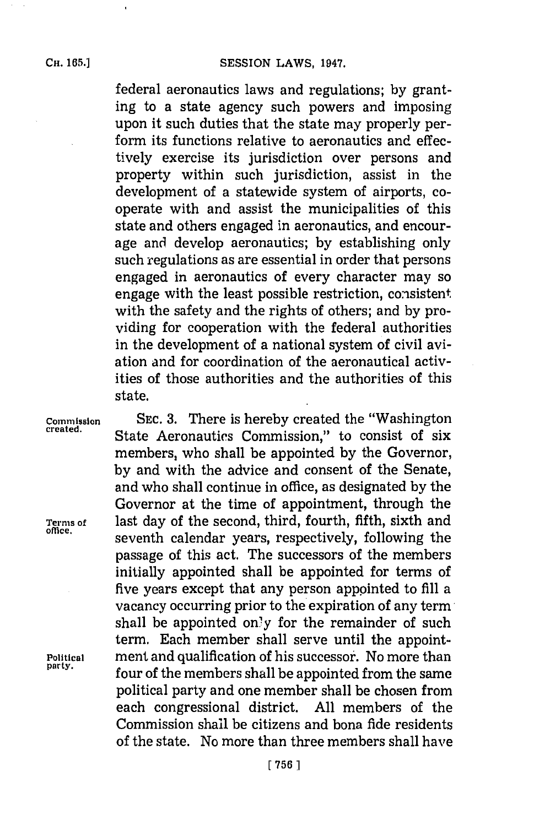$\cdot$ 

federal aeronautics laws and regulations; **by** granting to a state agency such powers and imposing upon it such duties that the state may properly perform its functions relative to aeronautics and effectively exercise its jurisdiction over persons and property within such jurisdiction, assist in the development of a statewide system of airports, cooperate with and assist the municipalities of this state and others engaged in aeronautics, and encourage and develop aeronautics; **by** establishing only such regulations as are essential in order that persons engaged in aeronautics of every character may so engage with the least possible restriction, consistent with the safety and the rights of others; and **by** providing for cooperation with the federal authorities in the development of a national system of civil aviation and for coordination of the aeronautical activities of those authorities and the authorities of this state.

**Commission** SEC. 3. There is hereby created the "Washington created. State Aeronautics Commission," to consist of six members, who shall be appointed **by** the Governor, **by** and with the advice and consent of the Senate, and who shall continue in office, as designated **by** the Governor at the time of appointment, through the **Ternms of** last day of the second, third, fourth, fifth, sixth and seventh calendar years, respectively, following the passage of this act. The successors of the members initially appointed shall be appointed for terms of five years except that any person appointed to **fill** a vacancy occurring prior to the expiration of any term shall be appointed only for the remainder of such term. Each member shall serve until the appoint-**Political** ment and qualification of his successor. No more than four of the members shall be appointed from the same political party and one member shall be chosen from each congressional district. **All** members of the Commission shall be citizens and bona fide residents of the state. No more than three members shall have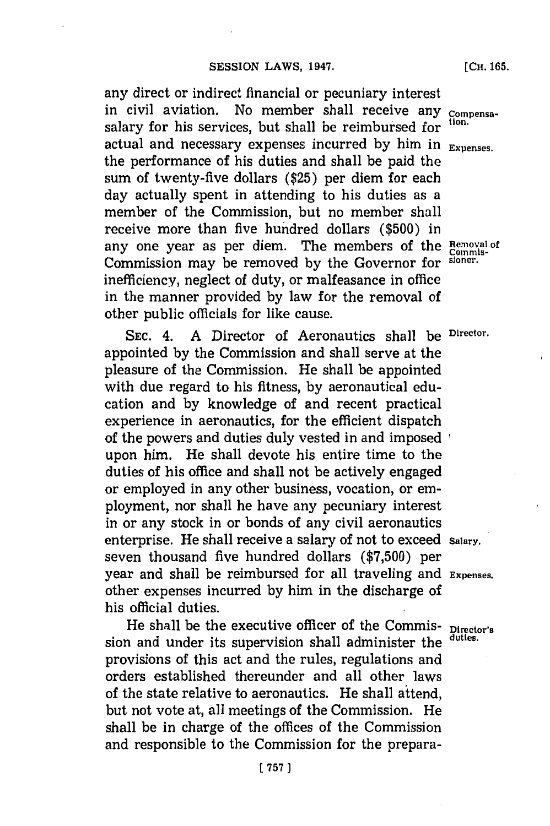any direct or indirect financial or pecuniary interest in civil aviation. No member shall receive any **compensa**salary for his services, but shall be reimbursed for actual and necessary expenses incurred **by** him in **Expenses.** the performance of his duties and shall be paid the sum of twenty-five dollars **(\$25)** per diem for each day actually spent in attending to his duties as a member of the Commission, but no member shall receive more than five hundred dollars **(\$500)** in any one year as per diem. The members of the Removal of Commission may be removed **by** the Governor for stoner. inefficiency, neglect of duty, or malfeasance in office in the manner provided **by** law for the removal of other public officials for like cause.

SEC. 4. A Director of Aeronautics shall be Director. appointed **by** the Commission and shall serve at the pleasure of the Commission. He shall be appointed with due regard to his fitness, **by** aeronautical education and **by** knowledge of and recent practical experience in aeronautics, for the efficient dispatch of the powers and duties duly vested in and imposed upon him. He shall devote his entire time to the duties of his office and shall not be actively engaged or employed in any other business, vocation, or employment, nor shall he have any pecuniary interest in or any stock in or bonds of any civil aeronautics enterprise. He shall receive a salary of not to exceed salary. seven thousand five hundred dollars **(\$7,500)** per year and shall be reimbursed for all traveling and **Expenses.** other expenses incurred **by** him in the discharge of his official duties.

He shall be the executive officer of the Commis- Director's sion and under its supervision shall administer the **duties.** provisions of this act and the rules, regulations and orders established thereunder and all other laws of the state relative to aeronautics. He shall attend, but not vote at, all meetings of the Commission. He shall be in charge of the offices of the Commission and responsible to the Commission for the prepara-

**[CH. 165.**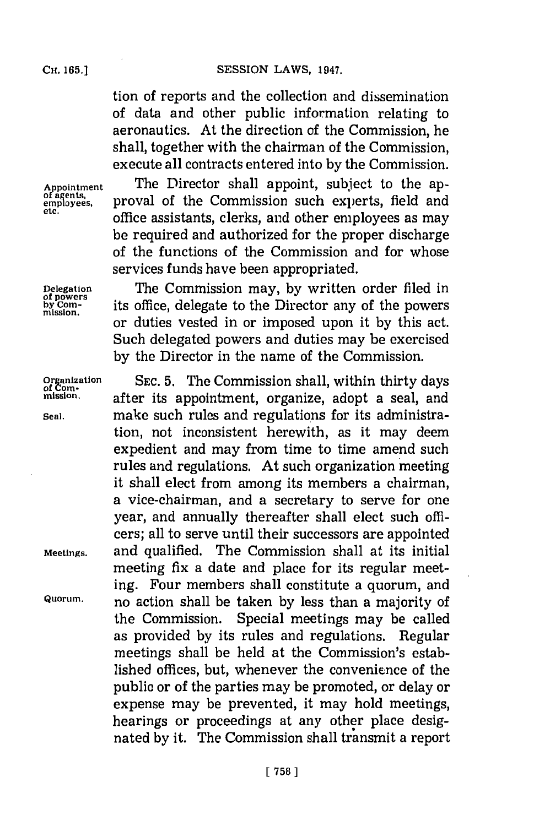tion of reports and the collection and dissemination of data and other public information relating to aeronautics. At the direction of the Commission, he shall, together with the chairman of the Commission, execute all contracts entered into **by** the Commission.

Appointment The Director shall appoint, subject to the ap-<br>
<u>of agents</u>, proval of the Commission such experts, field and or agents, **proval of the Commission such experts, field and** employees, office assistants, clerks, and other employees as may be required and authorized for the proper discharge of the functions of the Commission and for whose services funds have been appropriated.

Delegation The Commission may, by written order filed in by comparent its office, delegate to the Director any of the powers **its office, delegate to the Director any of the powers** or duties vested in or imposed upon it **by** this act. Such delegated powers and duties may be exercised **by** the Director in the name of the Commission.

**Organization** SEC. 5. The Commission shall, within thirty days<br> *of* Com-<br>
mission. after its appointment organize adopt a seal and **mission.** after its appointment, organize, adopt a seal, and **Seal.** make such rules and regulations for its administration, not inconsistent herewith, as it may deem expedient and may from time to time amend such rules and regulations. At such organization meeting it shall elect from among its members a chairman, a vice-chairman, and a secretary to serve for one year, and annually thereafter shall elect such officers; all to serve until their successors are appointed **Meetings,** and qualified. The Commission shall at its initial meeting fix a date and place for its regular meeting. Four members shall constitute a quorum, and **Quorum.** no action shall be taken **by** less than a majority of the Commission. Special meetings may be called as provided **by** its rules and regulations. Regular meetings shall be held at the Commission's established offices, but, whenever the convenience of the public or of the parties may be promoted, or delay or expense may be prevented, it may hold meetings, hearings or proceedings at any other place designated **by** it. The Commission shall transmit a report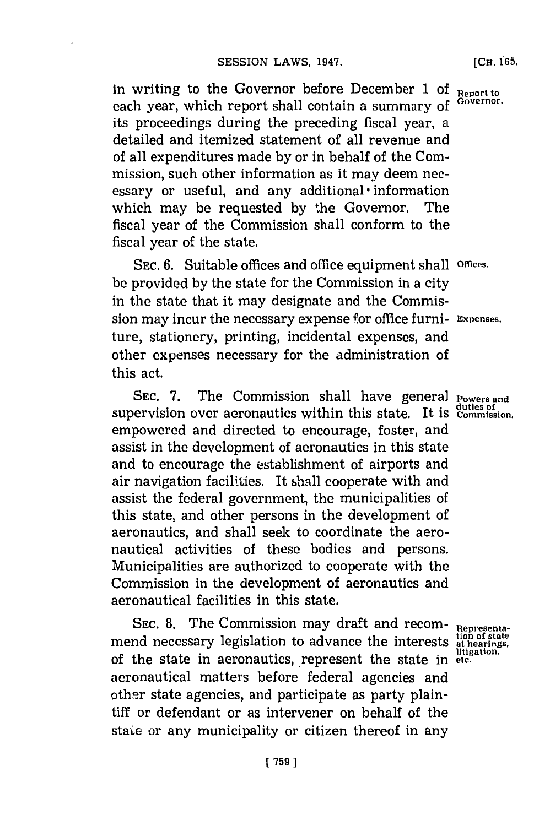In writing to the Governor before December **1** of **Report to** each year, which report shall contain a summary of its proceedings during the preceding fiscal year, a detailed and itemized statement of all revenue and of all expenditures made **by** or in behalf of the Commission, such other information as it may deem necessary or useful, and any additional **-**information which may be requested **by** the Governor. The fiscal year of the Commission shall conform to the fiscal year of the state.

**SEC. 6.** Suitable offices and office equipment shall **Offices.** be provided **by** the state for the Commission in a city in the state that it may designate and the Commission may incur the necessary expense for office furni- **Expenses.** ture, stationery, printing, incidental expenses, and other expenses necessary for the administration of this act.

SEC. 7. The Commission shall have general **Powers** and **duties of** supervision over aeronautics within this state. It is **Commission,** empowered and directed to encourage, foster, and assist in the development of aeronautics in this state and to encourage the establishment of airports and air navigation facilities. It shall cooperate with and assist the federal government, the municipalities of this state, and other persons in the development of aeronautics, and shall seek to coordinate the aeronautical activities of these bodies and persons. Municipalities are authorized to cooperate with the Commission in the development of aeronautics and aeronautical facilities in this state.

SEC. 8. The Commission may draft and recom-<br>
all the state is a commodition of state<br>  $\frac{1}{2}$ <br> **Representation** of state<br> **Representation**<br> **Representation**<br> **Representation**<br> **Representation**<br> **Representation** mend necessary legislation to advance the interests at hearings, of the state in aeronautics, represent the state in etc. aeronautical matters before federal agencies and other state agencies, and participate as party plaintiff or defendant or as intervener on behalf of the state or any municipality or citizen thereof in any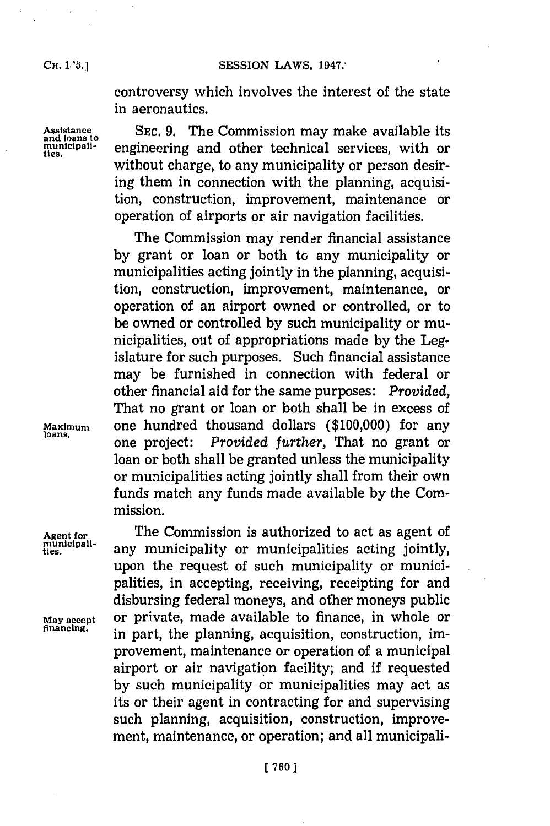controversy which involves the interest of the state in aeronautics.

**Assistance SEC. 9.** The Commission may make available its **and loans to municipali-** engineering and other technical services, with or without charge, to any municipality or person desiring them in connection with the planning, acquisition, construction, improvement, maintenance or operation of airports or air navigation facilities.

The Commission may render financial assistance **by** grant or loan or both to any municipality or municipalities acting jointly in the planning, acquisition, construction, improvement, maintenance, or operation of an airport owned or controlled, or to be owned or controlled **by** such municipality or municipalities, out of appropriations made **by** the Legislature for such purposes. Such financial assistance may be furnished in connection with federal or other financial aid for the same purposes: *Provided,* That no grant or loan or both shall be in excess of **Maximum** one hundred thousand dollars **(\$100,000)** for any loans. one project: *Provided further,* That no grant or loan or both shall be granted unless the municipality or municipalities acting jointly shall from their own funds match any funds made available **by** the Commission.

Agent for **The Commission is authorized to act as agent of** municipality can municipalities action initiative municipali-<br>ties. *any municipality or municipalities acting jointly,* upon the request of such municipality or municipalities, in accepting, receiving, receipting for and disbursing federal moneys, and other moneys public **May accept** or private, made available to finance, in whole or in part, the planning, acquisition, construction, improvement, maintenance or operation of a municipal airport or air navigation facility; and if requested **by** such municipality or municipalities may act as its or their agent in contracting for and supervising such planning, acquisition, construction, improvement, maintenance, or operation; and all municipali-

**ties.**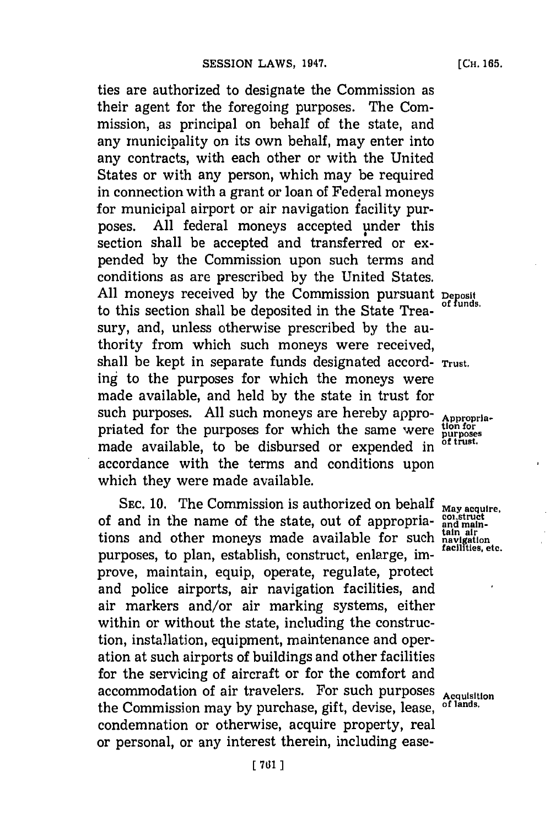ties are authorized to designate the Commission as their agent for the foregoing purposes. The Commission, as principal on behalf of the state, and any municipality on its own behalf, may enter into any contracts, with each other or with the United States or with any person, which may be required in connection with a grant or loan of Federal moneys for municipal airport or air navigation facility purposes. All federal moneys accepted under this section shall be accepted and transferred or expended **by** the Commission upon such terms and conditions as are prescribed **by** the United States. All moneys received by the Commission pursuant **Deposit** All moneys received by the Commission **pursuant** of funds. to this section shall be deposited in the State Treasury, and, unless otherwise prescribed **by** the authority from which such moneys were received, shall be kept in separate funds designated accord- **Trust.** ing to the purposes for which the moneys were made available, and held **by** the state in trust for such purposes. All such moneys are hereby appro-<br>priated for the purposes for which the same were purposes<br>mode excilently to be dishuped an expended in of trust. priated for the purposes for which the same were made available, to be disbursed or expended in accordance with the terms and conditions upon which they were made available.

SEC. 10. The Commission is authorized on behalf May acquire,<br>and in the name of the state, out of appropria-<br>ns and other moneys made available for such tain air of and in the name of the state, out of appropriations and other moneys made available for such **havigation**<br>*tacilities*, etc. purposes, to plan, establish, construct, enlarge, improve, maintain, equip, operate, regulate, protect and police airports, air navigation facilities, and air markers and/or air marking systems, either within or without the state, including the construction, installation, equipment, maintenance and operation at such airports of buildings and other facilities for the servicing of aircraft or for the comfort and accommodation of air travelers. For such purposes **Acquisition**<br>the Commission may by purchase gift device logge of lands. the Commission may by purchase, gift, devise, lease, condemnation or otherwise, acquire property, real or personal, or any interest therein, including ease-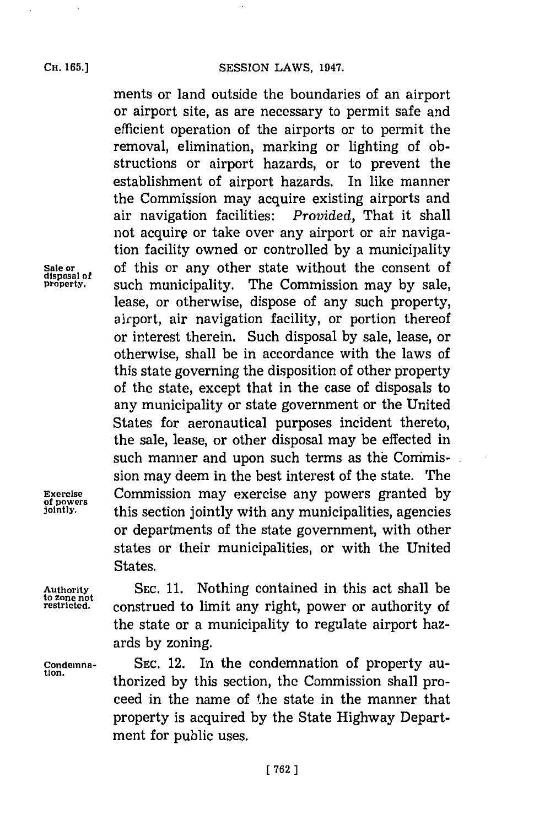## **CH. 65.]SESSION LAWS, 1947.**

ments or land outside the boundaries of an airport or airport site, as are necessary to permit safe and efficient operation of the airports or to permit the removal, elimination, marking or lighting of obstructions or airport hazards, or to prevent the establishment of airport hazards. In like manner the Commission may acquire existing airports and air navigation facilities: *Provided,* That it shall not acquire or take over any airport or air navigation facility owned or controlled **by** a municipality **Sale or** of this or any other state without the consent of **property,** such municipality. The Commission may **by** sale, lease, or otherwise, dispose of any such property, airport, air navigation facility, or portion thereof or interest therein. Such disposal **by** sale, lease, or otherwise, shall be in accordance with the laws of this state governing the disposition of other property of the state, except that in the case of disposals to any municipality or state government or the United States for aeronautical purposes incident thereto, the sale, lease, or other disposal may be effected in such manner and upon such terms as the Commission may deem in the best interest of the state. The **Exercise Commission may exercise any powers granted by of powers** this section iointly with any municipalities agencies **jointly,** this section jointly with any municipalities, agencies or departments of the state government, with other states or their municipalities, or with the United States.

**Authority SEC. 11.** Nothing contained in this act shall be restricted. construed to limit any right, power or authority of the state or a municipality to regulate airport hazards **by** zoning.

**condemna- SEC.** 12. In the condemnation of property authorized by this section, the Commission shall proceed in the name of the state in the manner that property is acquired **by** the State Highway Department for public uses.

disposal of<br>property.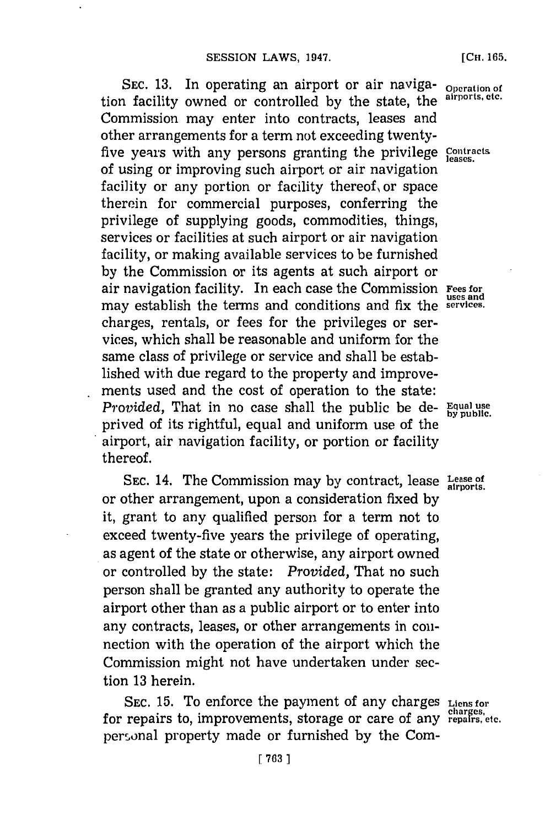SEC. 13. In operating an airport or air naviga- **Operation** of tion facility owned or controlled **by** the state, the **airports, etc.** Commission may enter into contracts, leases and other arrangements for a term not exceeding twentyfive years with any persons granting the privilege Contracts of using or improving such airport or air navigation facility or any portion or facility thereof, or space therein for commercial purposes, conferring the privilege of supplying goods, commodities, things, services or facilities at such airport or air navigation facility, or making available services to be furnished **by** the Commission or its agents at such airport or air navigation facility. In each case the Commission **Fees for** may establish the terms and conditions and fix the **services.** charges, rentals, or fees for the privileges or services, which shall be reasonable and uniform for the same class of privilege or service and shall be established with due regard to the property and improvements used and the cost of operation to the state: *Provided,* That in no case shall the public be de- **Equal use** prived of its rightful, equal and uniform use of the airport, air navigation facility, or portion or facility thereof.

**SEC.** 14. The Commission may **by** contract, lease **Lease of airports.** or other arrangement, upon a consideration fixed **by** it, grant to any qualified person for a term not to exceed twenty-five years the privilege of operating, as agent of the state or otherwise, any airport owned or controlled **by** the state: *Provided,* That no such person shall be granted any authority to operate the airport other than as a public airport or to enter into any contracts, leases, or other arrangements in colinection with the operation of the airport which the Commission might not have undertaken under section **13** herein.

SEC. **15.** To enforce the payment of any charges **Liens for** for repairs to, improvements, storage or care of any repairs, etc. personal property made or furnished by the Com-

**seand**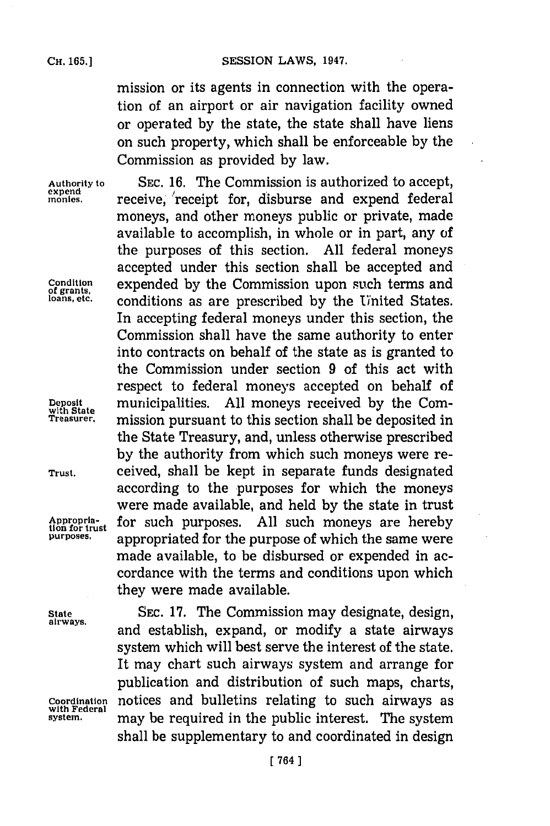mission or its agents in connection with the operation of an airport or air navigation facility owned or operated **by** the state, the state shall have liens on such property, which shall be enforceable **by** the Commission as provided **by** law.

Appropria-<br>tion for trust<br>purposes.

**Authority to** SEC. **16.** The Commission is authorized to accept, expend **receive**, receipt for, disburse and expend federal moneys, and other moneys public or private, made available to accomplish, in whole or in part, any of the purposes of this section. **All** federal moneys accepted under this section shall be accepted and **Condition** expended **by** the Commission upon such terms and **of grants, loans, etc.** conditions as are prescribed **by** the United States. In accepting federal moneys under this section, the Commission shall have the same authority to enter into contracts on behalf of the state as is granted to the Commission under section **9** of this act with respect to federal moneys accepted on behalf of **Deposit** municipalities. **All** moneys received **by** the Corn- **with State Treasurer,** mission pursuant to this section shall be deposited in the State Treasury, and, unless otherwise prescribed **by** the authority from which such moneys were re-**Trust.** ceived, shall be kept in separate funds designated according to the purposes for which the moneys were made available, and held **by** the state in trust for such purposes. All such moneys are hereby **purposes,** appropriated for the purpose of which the same were made available, to be disbursed or expended in accordance with the terms and conditions upon which they were made available.

**State** SEC. **17.** The Commission may designate, design, **airways,** and establish, expand, or modify a state airways system which will best serve the interest of the state. It may chart such airways system and arrange for publication and distribution of such maps, charts, **Coordination** notices and bulletins relating to such airways as **with Federal** may be required in the public interest. The system shall be supplementary to and coordinated in design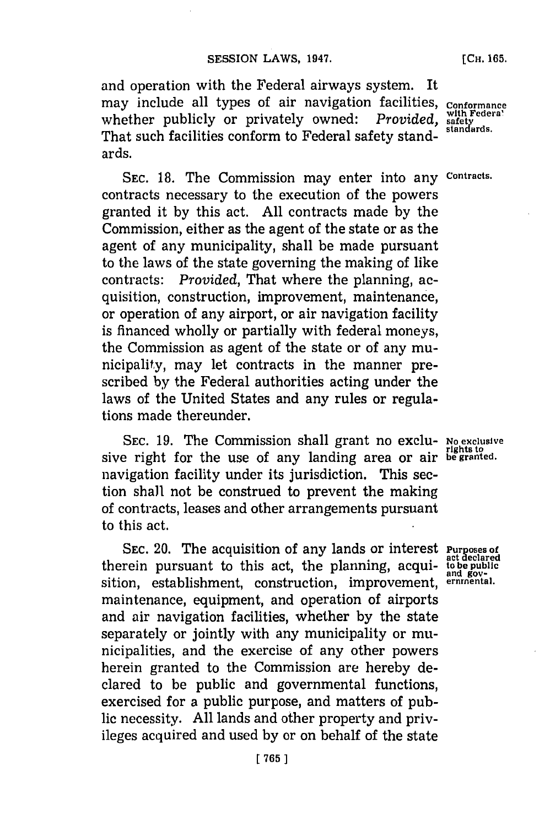and operation with the Federal airways system. It may include all types of air navigation facilities, conformance whether publicly or privately owned: *Provided*, with Federal public of the safety That such facilities conform to Federal safety standards.

**SEC. 18.** The Commission may enter into any **Contracts.** contracts necessary to the execution of the powers granted it **by** this act. **All** contracts made **by** the Commission, either as the agent of the state or as the agent of any municipality, shall be made pursuant to the laws of the state governing the making of like contracts: *Provided,* That where the planning, acquisition, construction, improvement, maintenance, or operation of any airport, or air navigation facility is financed wholly or partially with federal moneys, the Commission as agent of the state or of any municipality, may let contracts in the manner prescribed **by** the Federal authorities acting under the laws of the United States and any rules or regulations made thereunder.

**SEC. 19.** The Commission shall grant no exclu- **No exclusive** sive right for the use of any landing area or air **be granted**. navigation facility under its jurisdiction. This section shall not be construed to prevent the making of contracts, leases and other arrangements pursuant to this act.

**SEC.** 20. The acquisition of any lands or interest **Purposes of acteurs of the manufacture of the planning, acqui-** to the public pursuant to this act, the planning, acqui- to be public sition, establishment, construction, improvement, **ernrnental.** maintenance, equipment, and operation of airports and air navigation facilities, whether **by** the state separately or jointly with any municipality or municipalities, and the exercise of any other powers herein granted to the Commission are hereby declared to be public and governmental functions, exercised for a public purpose, and matters of public necessity. **All** lands and other property and privileges acquired and used **by** or on behalf of the state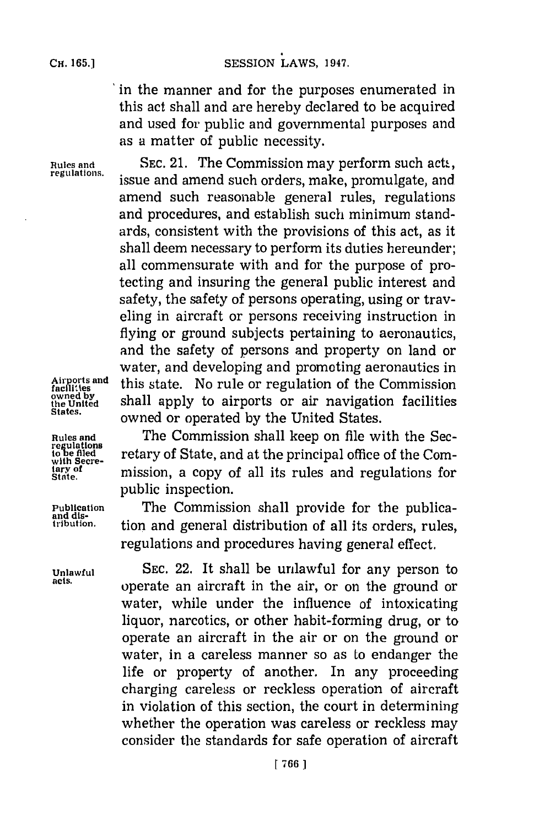## **CH. 165.1**

## SESSION LAWS, 1947.

'in the manner and for the purposes enumerated in this act shall and are hereby declared to be acquired and used for public and governmental purposes and as a matter of public necessity.

Rules and SEC. 21. The Commission may perform such acts, regulations. issue and amend such orders, make, promulgate, and amend such reasonable general rules, regulations and procedures, and establish such minimum standards, consistent with the provisions of this act, as it shall deem necessary to perform its duties hereunder; all commensurate with and for the purpose of protecting and insuring the general public interest and safety, the safety of persons operating, using or traveling in aircraft or persons receiving instruction in flying or ground subjects pertaining to aeronautics, and the safety of persons and property on land or water, and developing and promoting aeronautics in **fac lites** this state. No rule or regulation of the Commission shall apply to airports or air navigation facilities owned or operated by the United States.

Airports and<br>facilities<br>owned by<br>the United<br>States.

Rules and The Commission shall keep on file with the Secretiations<br>to be filed retary of State, and at the principal office of the Com-<br>with Secreretary of State, and at the principal office of the Commission, a copy of all its rules and regulations for public inspection.

**Publication The Commission shall provide for the publica-** and dis-<br> *And* distribution. <br> **Publication and** *and and and and and and and and and and and and and* tion and general distribution of all its orders, rules, regulations and procedures having general effect.

**Unlawful SEC.** 22. It shall be unlawful for any person to **acts,** operate an aircraft in the air, or on the ground or water, while under the influence of intoxicating liquor, narcotics, or other habit-forming drug, or to operate an aircraft in the air or on the ground or water, in a careless manner so as to endanger the life or property of another. In any proceeding charging careless or reckless operation of aircraft in violation of this section, the court in determining whether the operation was careless or reckless may consider the standards for safe operation of aircraft

**tary of**<br>State.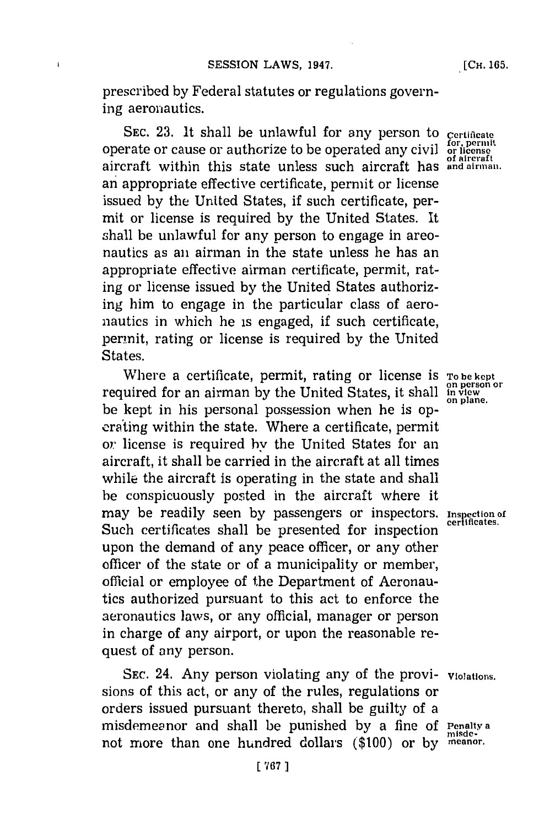prescribed **by** Federal statutes or regulations governing aeronautics.

SEC. 23. It shall be unlawful for any person to certificate prate or cause or authorize to be operated any civil or license operate or cause or authorize to be operated any civil **of aircraft** aircraft within this state unless such aircraft has **and airman.** an appropriate effective certificate, permit or license issued **by** the United States, if such certificate, permit or license is required **by** the United States. It shall be unlawful for any person to engage in areonautics as an airman in the state unless he has an appropriate effective airman certificate, permit, rating or license issued **by** the United States authorizing him to engage in the particular class of aeronautics in which he is engaged, if such certificate, permit, rating or license is required **by** the United States.

Where a certificate, permit, rating or license is **To be kept**<br>usired for an airman by the United States, it shall inview required for an airman **by** the United States, it shall **in ve** be kept in his personal possession when he is opcrating within the state. Where a certificate, permit or: license is required **hy** the United States for an aircraft, it shall be carried in the aircraft at all times while the aircraft is operating in the state and shall be conspicuously posted in the aircraft where it may be readily seen **by** passengers or inspectors. **Insrection of** Such certificates shall be presented for inspection upon the demand of any peace officer, or any other officer of the state or of a municipality or member, official or employee of the Department of Aeronautics authorized pursuant to this act to enforce the aeronautics laws, or any official, manager or person in charge of any airport, or upon the reasonable request of any person.

**SEC.** 24. Any person violating any of the provi- **violations.** sions of this act, or any of the rules, regulations or orders issued pursuant thereto, shall be guilty of a misdemeanor and shall be punished **by** a fine **of Penalty a** not more than one hundred dollars **(\$100)** or **by meanor.**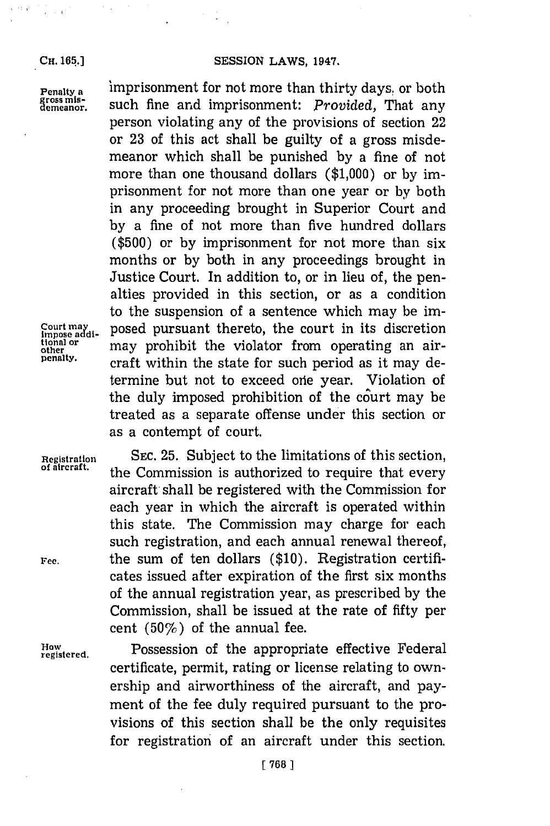**CH. 165.]**

 $\cdot$  :  $\hat{\mathbf{r}}$ 

**Penalty a** imprisonment for not more than thirty days, or both gross mis-<br>gross mis-<br>demeanor. such fine and imprisonment: *Provided*, That any such fine and imprisonment: Provided, That any person violating any of the provisions of section 22 or **23** of this act shall be guilty of a gross misdemeanor which shall be punished **by** a fine of not more than one thousand dollars **(\$1,000)** or **by** imprisonment for not more than one year or **by** both in any proceeding brought in Superior Court and **by** a fine of not more than five hundred dollars **(\$500)** or **by** imprisonment for not more than six months or **by** both in any proceedings brought in Justice Court. In addition to, or in lieu of, the penalties provided in this section, or as a condition to the suspension of a sentence which may be im-Court may impose addi<sub>-</sub> posed pursuant thereto, the court in its discretion tional or may prohibit the violator from operating an airtional or a may prohibit the violator from operating an air-<br>other<br>penalty. *oneft within the state for such nomiad as it west de* craft within the state for such period as it may determine but not to exceed orie year. Violation of the duly imposed prohibition of the court may be treated as a separate offense under this section or as a contempt of court.

**Registration SEC. 25.** Subject to the limitations of this section, **of aircraft,** the Commission is authorized to require that every aircraft- shall be registered with the Commission **for** each year in which the aircraft is operated within this state. The Commission may charge for each such registration, and each annual renewal thereof, ree, the sum of ten dollars **(\$10).** Registration certificates issued after expiration of the first six months of the annual registration year, as prescribed **by** the Commission, shall be issued at the rate of fifty per cent  $(50\%)$  of the annual fee.

**regitered.** Possession of the appropriate effective Federal certificate, permit, rating or license relating to ownership and airworthiness of the aircraft, and payment of the fee duly required pursuant to the provisions of this section shall be the only requisites for registration of an aircraft under this section.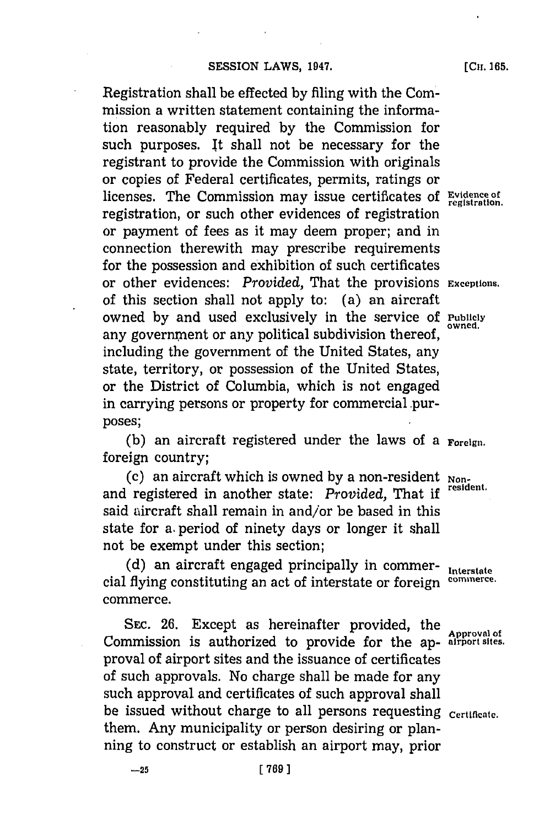Registration shall be effected **by** filing with the Commission a written statement containing the information reasonably required **by** the Commission for such purposes. It shall not be necessary for the registrant to provide the Commission with originals or copies of Federal certificates, permits, ratings or licenses. The Commission may issue certificates of Evidence of registration, or such other evidences of registration or payment of fees as it may deem proper; and in connection therewith may prescribe requirements for the possession and exhibition of such certificates or other evidences: *Provided,* That the provisions **Exceptions.** of this section shall not apply to: (a) an aircraft owned **by** and used. exclusively in the service **Of Publicly** any government or any political subdivision thereof, including the government of the United States, any state, territory, or possession of the United States, or the District of Columbia, which is not engaged in carrying persons or property for commercial purposes;

**(b)** an aircraft registered under the laws of a **Foreign.** foreign country;

(c) an aircraft which is owned **by** a non-resident **Non**and registered in another state: *Provided*, That if said aircraft shall remain in and/or be based in this state for a. period of ninety days or longer it shall not be exempt under this section;

**(d)** an aircraft engaged principally in commer- **Interstate** cial flying constituting an act of interstate or foreign commerce. commerce.

SEc. **26.** Except as hereinafter provided, the Commission is authorized to provide for the ap- **airport sites.** proval of airport sites and the issuance of certificates of such approvals. No charge shall be made for any such approval and certificates of such approval shall be issued without charge to all persons requesting certificate. them. Any municipality or person desiring or planning to construct or establish an airport may, prior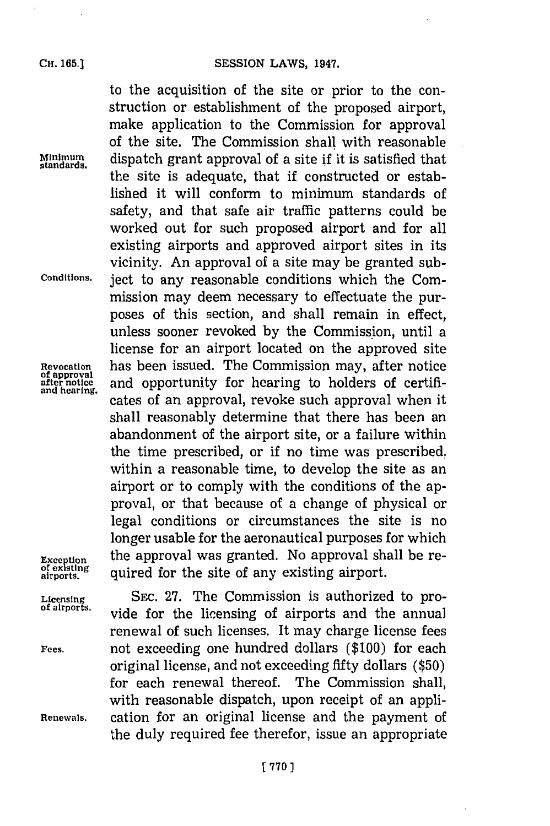to the acquisition of the site or prior to the construction or establishment of the proposed airport, make application to the Commission for approval of the site. The Commission shall with reasonable **Minimum.** dispatch grant approval of a site **if** it is satisfied that **standards.** the site is adequate, that if constructed or established it will conform to minimum standards of safety, and that safe air traffic patterns could be worked out for such proposed airport and for all existing airports and approved airport sites in its vicinity. An approval of a site may be granted sub-**Conditions.** ject to any reasonable conditions which the Commission may deem necessary to effectuate the purposes of this section, and shall remain in effect, unless sooner revoked **by** the Commission, until a license for an airport located on the approved site **Revocation** has been issued. The Commission may, after notice **of approval after notice** and opportunity for hearing to holders of certificates of an approval, revoke such approval when it shall reasonably determine that there has been an abandonment of the airport site, or a failure within the time prescribed, or if no time was prescribed. within a reasonable time, to develop the site as an airport or to comply with the conditions of the approval, or that because of a change of physical or legal conditions or circumstances the site is no longer usable for the aeronautical purposes for which **Exception** the approval was granted. No approval shall be re-<br>of existing quired for the site of any existing airport. quired for the site of any existing airport.

Licensing SEC. 27. The Commission is authorized to pro-<br>of alrports. vide for the licensing of airports and the annual renewal of such licenses. It may charge license fees **Fees,** not exceeding one hundred dollars **(\$100)** for each original license, and not exceeding fifty dollars **(\$50)** for each renewal thereof. The Commission shall, with reasonable dispatch, upon receipt of an appli-**Renewals,** cation for an original license and the payment of the duly required fee therefor, issue an appropriate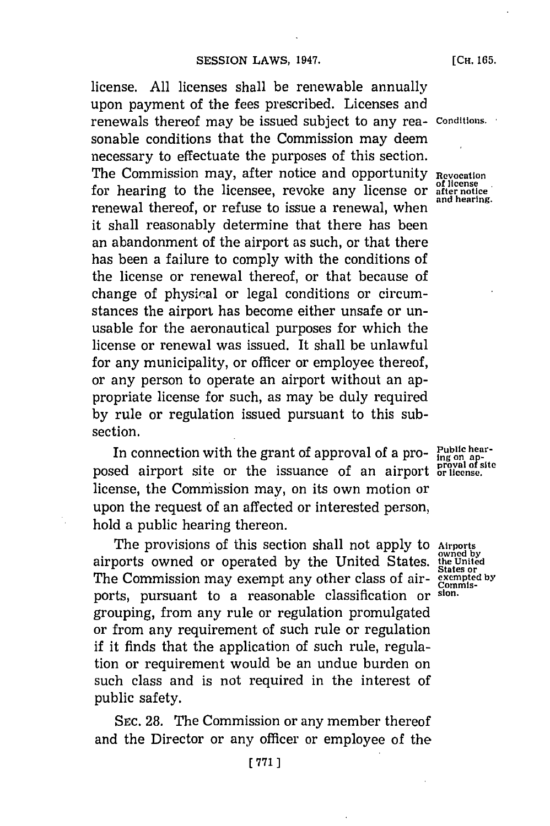license. **All** licenses shall be renewable annually upon payment of the fees prescribed. Licenses and renewals thereof may be issued subject to any rea- **conditions.** sonable conditions that the Commission may deem necessary to effectuate the purposes of this section. The Commission may, after notice and opportunity **Revocation** for hearing to the licensee, revoke any license or after notice<br>and hearing to the licensee, revoke any license or after notice renewal thereof, or refuse to issue a renewal, when it shall reasonably determine that there has been an abandonment of the airport as such, or that there has been a failure to comply with the conditions of the license or renewal thereof, or that because of change of physiral or legal conditions or circumstances the airport has become either unsafe or unusable for the aeronautical purposes for which the license or renewal was issued. It shall be unlawful for any municipality, or officer or employee thereof, or any person to operate an airport without an appropriate license for such, as may be duly required **by** rule or regulation issued pursuant to this subsection.

In connection with the grant of approval of a pro-  $\frac{Pubble \text{ he}}{P}$ posed airport site or the issuance of an airport **proval of** license, the Commission may, on its own motion or upon the request of an affected or interested person, hold a public hearing thereon.

The provisions of this section shall not apply to **Airports** airports owned or operated by the United States. **the United** The Commission may exempt any other class of air-The Commission may exempt any other class of airports, pursuant to a reasonable classification or **sion.** grouping, from any rule or regulation promulgated or from any requirement of such rule or regulation if it finds that the application of such rule, regulation or requirement would be an undue burden on such class and is not required in the interest of public safety.

SEc. **28.** The Commission or any member thereof and the Director or any officer or employee of the

**[771]**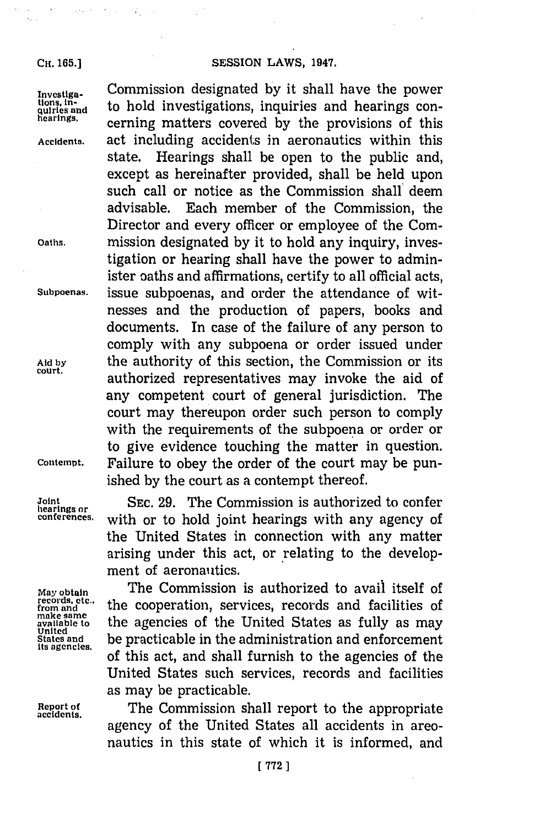**CH. 165.)**

 $\mathcal{L}$ 

**Investiga-** Commission designated **by** it shall have the power  $\frac{\text{thons}}{\text{quirls and}}$  to hold investigations, inquiries and hearings con**hearings.** cerning matters covered **by** the provisions of this **Accidents,** act including accidents in aeronautics within this state. Hearings shall be open to the public and, except as hereinafter provided, shall be held upon such call or notice as the Commission shall deem advisable. Each member of the Commission, the Director and every officer or employee of the Com-**Oaths,** mission designated **by** it to hold any inquiry, investigation or hearing shall have the power to administer oaths and affirmations, certify to all official acts, **Subpoenas,** issue subpoenas, and order the attendance of witnesses and the production of papers, books and documents. In case of the failure of any person to comply with any subpoena or order issued under Aid by **the authority of this section, the Commission or its court,** authorized representatives may invoke the aid of any competent court of general jurisdiction. The court may thereupon order such person to comply with the requirements of the subpoena or order or to give evidence touching the matter in question. **Contempt.** Failure to obey the order of the court may be punished **by** the court as a contempt thereof.

Joint SEC. 29. The Commission is authorized to confer **conferences.** with or to hold joint hearings with any agency of the United States in connection with any matter arising under this act, or relating to the development of aeronautics.

May obtain **The Commission is authorized to avail itself of** records, etc.<br> *The comperation, services, records and facilities of* **the cooperation, services, records and facilities of** records, etc.,<br>from and **the cooperation, services, records and facilities of**<br>make same<br>available to the agencies of the United States as fully as may make same<br>available to **the agencies of the United States as fully** as may united<br>States and be practicable in the administration and enforcement **Stas anies,** practicable in the administration and enforcement itsagncis.of this act, and shall furnish to the agencies of the United States such services, records and facilities as may be practicable.

**Report of** The Commission shall report to the appropriate **accidents.** agency of the United States all accidents in areonautics in this state of which it is informed, and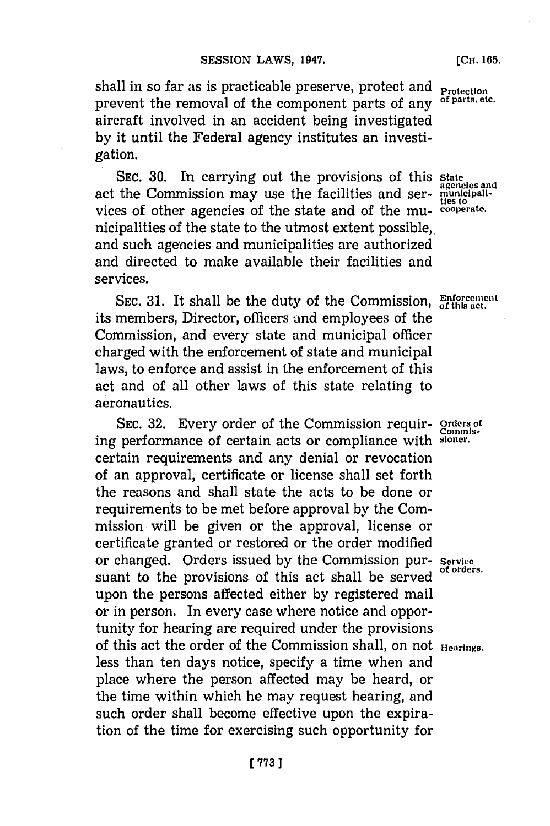shall in so far *as* is practicable preserve, protect and **protection** prevent the removal of the component parts of any of parts etc. prevent the removal of the component parts of any aircraft involved in an accident being investigated **by** it until the Federal agency institutes an investigation.

**SEC. 30.** In carrying out the provisions of this **State** act the Commission may use the facilities and ser-municipalivices of other agencies of the state and of the mu- **cooperate.** nicipalities of the state to the utmost extent possible,. and such agencies and municipalities are authorized and directed to make available their facilities and services.

**SEC. 31.** It shall be the duty of the Commission, **Enforcement 9fti act.** its members, Director, officers and employees of the **o'** Commission, and every state and municipal officer charged with the enforcement of state and municipal laws, to enforce and assist in the enforcement of this act and of all other laws of this state relating to aeronautics.

**SEC. 32.** Every order of the Commission requir- **orders of Commis.** ing performance of certain acts or compliance with **sioner.** certain requirements and any denial or revocation of an approval, certificate or license shall set forth the reasons and shall state the acts to be done or requirements to be met before approval **by** the Commission will be given or the approval, license or certificate granted or restored or the order modified or changed. Orders issued **by** the Commission pur- **Service** suant to the provisions of this act shall be served upon the persons affected either **by** registered mail or in person. In every case where notice and opportunity for hearing are required under the provisions of this act the order of the Commission shall, on not **Hearings.** less than ten days notice, specify a time when and place where the person affected may be heard, or the time within which he may request hearing, and such order shall become effective upon the expiration of the time for exercising such opportunity for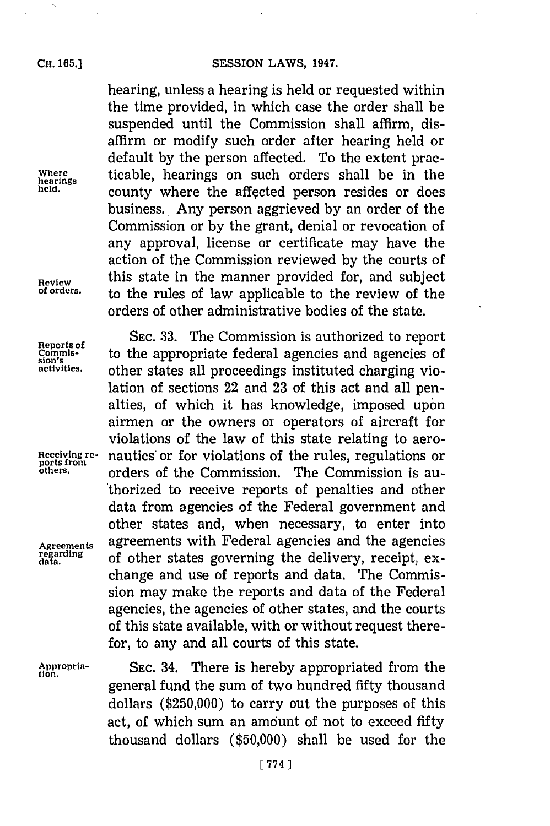$\lambda$ 

hearing, unless a hearing is held or requested within the time provided, in which case the order shall be suspended until the Commission shall affirm, disaffirm or modify such order after hearing held or default **by** the person affected. To the extent prac-**Where** ticable, hearings on such orders shall be in the **hearings** county where the affected person resides or does business. Any person aggrieved **by** an order of the Commission or **by** the grant, denial or revocation of any approval, license or certificate may have the action of the Commission reviewed **by** the courts of **Review** this state in the manner provided for, and subject<br>of orders, to the mulge of leur emplicable to the neutron of the **of orders,** to the rules of law applicable to the review of the orders of other administrative bodies of the state.

Reports of SEC. 33. The Commission is authorized to report commis-<br>sion<sup>s</sup> **to the appropriate federal agencies and agencies of**<br>activities, other states all proceedings instituted charging vio**activities,** other states all proceedings instituted charging violation of sections 22 and **23** of this act and all penalties, of which it has knowledge, imposed upon airmen or the owners or operators of aircraft for violations of the law of this state relating to aero-**Receiving re-** nautics or for violations of the rules, regulations or **ports from others,** orders of the Commission. The Commission is authorized to receive reports of penalties and other data from agencies of the Federal government and other states and, when necessary, to enter into **Agreements** agreements with Federal agencies and the agencies **regarding** of other states governing the delivery, receipt, exchange and use of reports and data. The Commission may make the reports and data of the Federal agencies, the agencies of other states, and the courts of this state available, with or without request therefor, to any and all courts of this state.

**Appropria- SEC.** 34. There is hereby appropriated from the **tion.** general fund the sum of two hundred **fifty** thousand dollars **(\$250,000)** to carry out the purposes of this act, of which sum an amount of not to exceed fifty thousand dollars **(\$50,000)** shall be used for the

**[ 774 1**